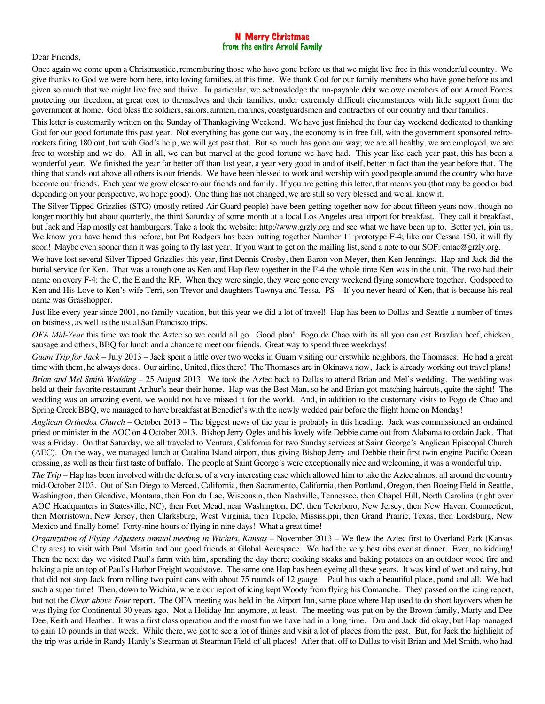## N Merry Christmas from the entire Arnold Family

Dear Friends,

Once again we come upon a Christmastide, remembering those who have gone before us that we might live free in this wonderful country. We give thanks to God we were born here, into loving families, at this time. We thank God for our family members who have gone before us and given so much that we might live free and thrive. In particular, we acknowledge the un-payable debt we owe members of our Armed Forces protecting our freedom, at great cost to themselves and their families, under extremely difficult circumstances with little support from the government at home. God bless the soldiers, sailors, airmen, marines, coastguardsmen and contractors of our country and their families.

This letter is customarily written on the Sunday of Thanksgiving Weekend. We have just finished the four day weekend dedicated to thanking God for our good fortunate this past year. Not everything has gone our way, the economy is in free fall, with the government sponsored retrorockets firing 180 out, but with God's help, we will get past that. But so much has gone our way; we are all healthy, we are employed, we are free to worship and we do. All in all, we can but marvel at the good fortune we have had. This year like each year past, this has been a wonderful year. We finished the year far better off than last year, a year very good in and of itself, better in fact than the year before that. The thing that stands out above all others is our friends. We have been blessed to work and worship with good people around the country who have become our friends. Each year we grow closer to our friends and family. If you are getting this letter, that means you (that may be good or bad depending on your perspective, we hope good). One thing has not changed, we are still so very blessed and we all know it.

The Silver Tipped Grizzlies (STG) (mostly retired Air Guard people) have been getting together now for about fifteen years now, though no longer monthly but about quarterly, the third Saturday of some month at a local Los Angeles area airport for breakfast. They call it breakfast, but Jack and Hap mostly eat hamburgers. Take a look the website: http://www.grzly.org and see what we have been up to. Better yet, join us. We know you have heard this before, but Pat Rodgers has been putting together Number 11 prototype F-4; like our Cessna 150, it will fly soon! Maybe even sooner than it was going to fly last year. If you want to get on the mailing list, send a note to our SOF: cmac@grzly.org.

We have lost several Silver Tipped Grizzlies this year, first Dennis Crosby, then Baron von Meyer, then Ken Jennings. Hap and Jack did the burial service for Ken. That was a tough one as Ken and Hap flew together in the F-4 the whole time Ken was in the unit. The two had their name on every F-4: the C, the E and the RF. When they were single, they were gone every weekend flying somewhere together. Godspeed to Ken and His Love to Ken's wife Terri, son Trevor and daughters Tawnya and Tessa. PS – If you never heard of Ken, that is because his real name was Grasshopper.

Just like every year since 2001, no family vacation, but this year we did a lot of travel! Hap has been to Dallas and Seattle a number of times on business, as well as the usual San Francisco trips.

*OFA Mid-Year* this time we took the Aztec so we could all go. Good plan! Fogo de Chao with its all you can eat Brazlian beef, chicken, sausage and others, BBQ for lunch and a chance to meet our friends. Great way to spend three weekdays!

*Guam Trip for Jack* – July 2013 – Jack spent a little over two weeks in Guam visiting our erstwhile neighbors, the Thomases. He had a great time with them, he always does. Our airline, United, flies there! The Thomases are in Okinawa now, Jack is already working out travel plans! *Brian and Mel Smith Wedding* – 25 August 2013. We took the Aztec back to Dallas to attend Brian and Mel's wedding. The wedding was held at their favorite restaurant Arthur's near their home. Hap was the Best Man, so he and Brian got matching haircuts, quite the sight! The wedding was an amazing event, we would not have missed it for the world. And, in addition to the customary visits to Fogo de Chao and Spring Creek BBQ, we managed to have breakfast at Benedict's with the newly wedded pair before the flight home on Monday!

*Anglican Orthodox Church* – October 2013 – The biggest news of the year is probably in this heading. Jack was commissioned an ordained priest or minister in the AOC on 4 October 2013. Bishop Jerry Ogles and his lovely wife Debbie came out from Alabama to ordain Jack. That was a Friday. On that Saturday, we all traveled to Ventura, California for two Sunday services at Saint George's Anglican Episcopal Church (AEC). On the way, we managed lunch at Catalina Island airport, thus giving Bishop Jerry and Debbie their first twin engine Pacific Ocean crossing, as well as their first taste of buffalo. The people at Saint George's were exceptionally nice and welcoming, it was a wonderful trip.

*The Trip –* Hap has been involved with the defense of a very interesting case which allowed him to take the Aztec almost all around the country mid-October 2103. Out of San Diego to Merced, California, then Sacramento, California, then Portland, Oregon, then Boeing Field in Seattle, Washington, then Glendive, Montana, then Fon du Lac, Wisconsin, then Nashville, Tennessee, then Chapel Hill, North Carolina (right over AOC Headquarters in Statesville, NC), then Fort Mead, near Washington, DC, then Teterboro, New Jersey, then New Haven, Connecticut, then Morristown, New Jersey, then Clarksburg, West Virginia, then Tupelo, Mississippi, then Grand Prairie, Texas, then Lordsburg, New Mexico and finally home! Forty-nine hours of flying in nine days! What a great time!

*Organization of Flying Adjusters annual meeting in Wichita, Kansas* – November 2013 – We flew the Aztec first to Overland Park (Kansas City area) to visit with Paul Martin and our good friends at Global Aerospace. We had the very best ribs ever at dinner. Ever, no kidding! Then the next day we visited Paul's farm with him, spending the day there; cooking steaks and baking potatoes on an outdoor wood fire and baking a pie on top of Paul's Harbor Freight woodstove. The same one Hap has been eyeing all these years. It was kind of wet and rainy, but that did not stop Jack from rolling two paint cans with about 75 rounds of 12 gauge! Paul has such a beautiful place, pond and all. We had such a super time! Then, down to Wichita, where our report of icing kept Woody from flying his Comanche. They passed on the icing report, but not the *Clear above Four* report. The OFA meeting was held in the Airport Inn, same place where Hap used to do short layovers when he was flying for Continental 30 years ago. Not a Holiday Inn anymore, at least. The meeting was put on by the Brown family, Marty and Dee Dee, Keith and Heather. It was a first class operation and the most fun we have had in a long time. Dru and Jack did okay, but Hap managed to gain 10 pounds in that week. While there, we got to see a lot of things and visit a lot of places from the past. But, for Jack the highlight of the trip was a ride in Randy Hardy's Stearman at Stearman Field of all places! After that, off to Dallas to visit Brian and Mel Smith, who had